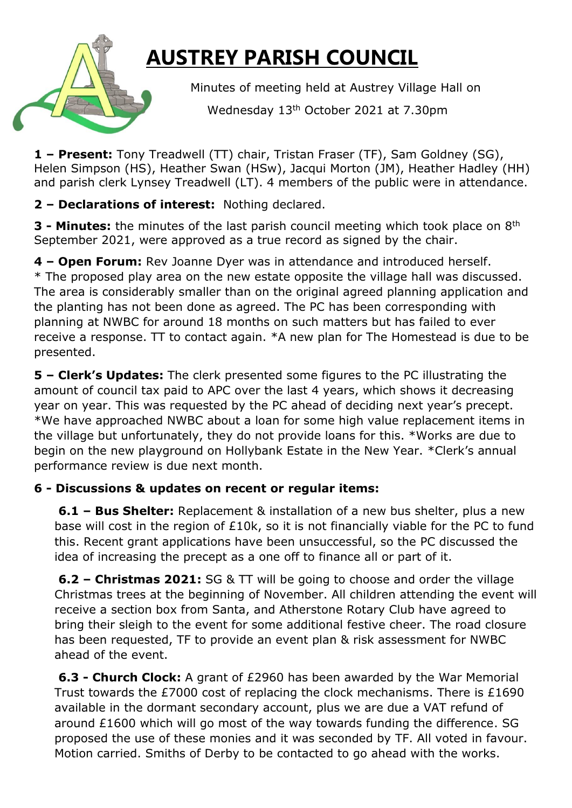## **AUSTREY PARISH COUNCIL**

Minutes of meeting held at Austrey Village Hall on

Wednesday 13th October 2021 at 7.30pm

**1 – Present:** Tony Treadwell (TT) chair, Tristan Fraser (TF), Sam Goldney (SG), Helen Simpson (HS), Heather Swan (HSw), Jacqui Morton (JM), Heather Hadley (HH) and parish clerk Lynsey Treadwell (LT). 4 members of the public were in attendance.

**2 – Declarations of interest:** Nothing declared.

**3 - Minutes:** the minutes of the last parish council meeting which took place on 8<sup>th</sup> September 2021, were approved as a true record as signed by the chair.

**4 – Open Forum:** Rev Joanne Dyer was in attendance and introduced herself. \* The proposed play area on the new estate opposite the village hall was discussed. The area is considerably smaller than on the original agreed planning application and the planting has not been done as agreed. The PC has been corresponding with planning at NWBC for around 18 months on such matters but has failed to ever receive a response. TT to contact again. \*A new plan for The Homestead is due to be presented.

**5 – Clerk's Updates:** The clerk presented some figures to the PC illustrating the amount of council tax paid to APC over the last 4 years, which shows it decreasing year on year. This was requested by the PC ahead of deciding next year's precept. \*We have approached NWBC about a loan for some high value replacement items in the village but unfortunately, they do not provide loans for this. \*Works are due to begin on the new playground on Hollybank Estate in the New Year. \*Clerk's annual performance review is due next month.

## **6 - Discussions & updates on recent or regular items:**

**6.1 – Bus Shelter:** Replacement & installation of a new bus shelter, plus a new base will cost in the region of £10k, so it is not financially viable for the PC to fund this. Recent grant applications have been unsuccessful, so the PC discussed the idea of increasing the precept as a one off to finance all or part of it.

**6.2 – Christmas 2021:** SG & TT will be going to choose and order the village Christmas trees at the beginning of November. All children attending the event will receive a section box from Santa, and Atherstone Rotary Club have agreed to bring their sleigh to the event for some additional festive cheer. The road closure has been requested, TF to provide an event plan & risk assessment for NWBC ahead of the event.

**6.3 - Church Clock:** A grant of £2960 has been awarded by the War Memorial Trust towards the £7000 cost of replacing the clock mechanisms. There is £1690 available in the dormant secondary account, plus we are due a VAT refund of around £1600 which will go most of the way towards funding the difference. SG proposed the use of these monies and it was seconded by TF. All voted in favour. Motion carried. Smiths of Derby to be contacted to go ahead with the works.